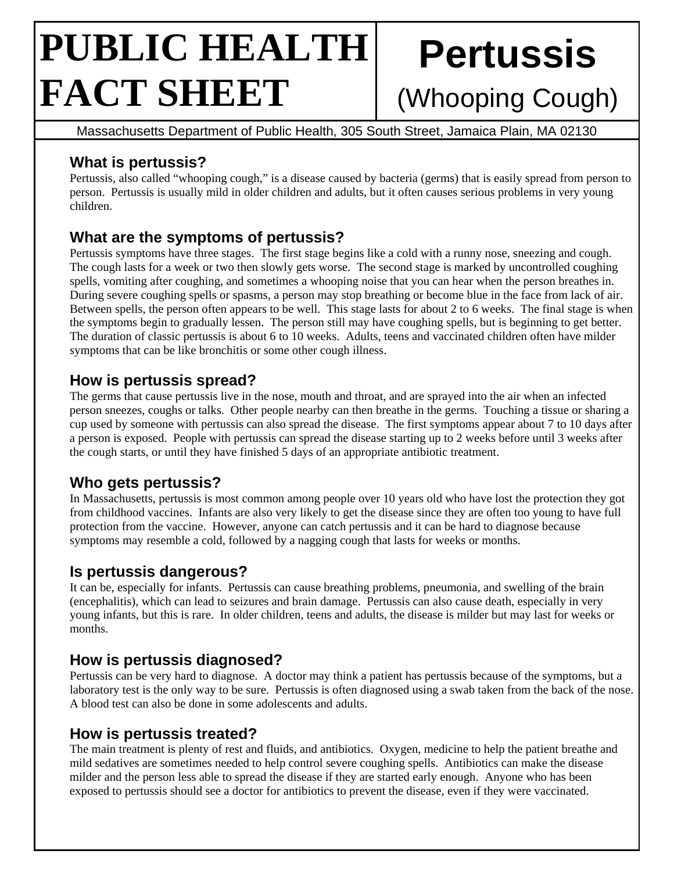# **PUBLIC HEALTH FACT SHEET**

# **Pertussis**

# (Whooping Cough)

Massachusetts Department of Public Health, 305 South Street, Jamaica Plain, MA 02130

# **What is pertussis?**

Pertussis, also called "whooping cough," is a disease caused by bacteria (germs) that is easily spread from person to person. Pertussis is usually mild in older children and adults, but it often causes serious problems in very young children.

# **What are the symptoms of pertussis?**

Pertussis symptoms have three stages. The first stage begins like a cold with a runny nose, sneezing and cough. The cough lasts for a week or two then slowly gets worse. The second stage is marked by uncontrolled coughing spells, vomiting after coughing, and sometimes a whooping noise that you can hear when the person breathes in. During severe coughing spells or spasms, a person may stop breathing or become blue in the face from lack of air. Between spells, the person often appears to be well. This stage lasts for about 2 to 6 weeks. The final stage is when the symptoms begin to gradually lessen. The person still may have coughing spells, but is beginning to get better. The duration of classic pertussis is about 6 to 10 weeks. Adults, teens and vaccinated children often have milder symptoms that can be like bronchitis or some other cough illness.

# **How is pertussis spread?**

The germs that cause pertussis live in the nose, mouth and throat, and are sprayed into the air when an infected person sneezes, coughs or talks. Other people nearby can then breathe in the germs. Touching a tissue or sharing a cup used by someone with pertussis can also spread the disease. The first symptoms appear about 7 to 10 days after a person is exposed. People with pertussis can spread the disease starting up to 2 weeks before until 3 weeks after the cough starts, or until they have finished 5 days of an appropriate antibiotic treatment.

# **Who gets pertussis?**

In Massachusetts, pertussis is most common among people over 10 years old who have lost the protection they got from childhood vaccines. Infants are also very likely to get the disease since they are often too young to have full protection from the vaccine. However, anyone can catch pertussis and it can be hard to diagnose because symptoms may resemble a cold, followed by a nagging cough that lasts for weeks or months.

#### **Is pertussis dangerous?**

It can be, especially for infants. Pertussis can cause breathing problems, pneumonia, and swelling of the brain (encephalitis), which can lead to seizures and brain damage. Pertussis can also cause death, especially in very young infants, but this is rare. In older children, teens and adults, the disease is milder but may last for weeks or months.

#### **How is pertussis diagnosed?**

Pertussis can be very hard to diagnose. A doctor may think a patient has pertussis because of the symptoms, but a laboratory test is the only way to be sure. Pertussis is often diagnosed using a swab taken from the back of the nose. A blood test can also be done in some adolescents and adults.

#### **How is pertussis treated?**

The main treatment is plenty of rest and fluids, and antibiotics. Oxygen, medicine to help the patient breathe and mild sedatives are sometimes needed to help control severe coughing spells. Antibiotics can make the disease milder and the person less able to spread the disease if they are started early enough. Anyone who has been exposed to pertussis should see a doctor for antibiotics to prevent the disease, even if they were vaccinated.